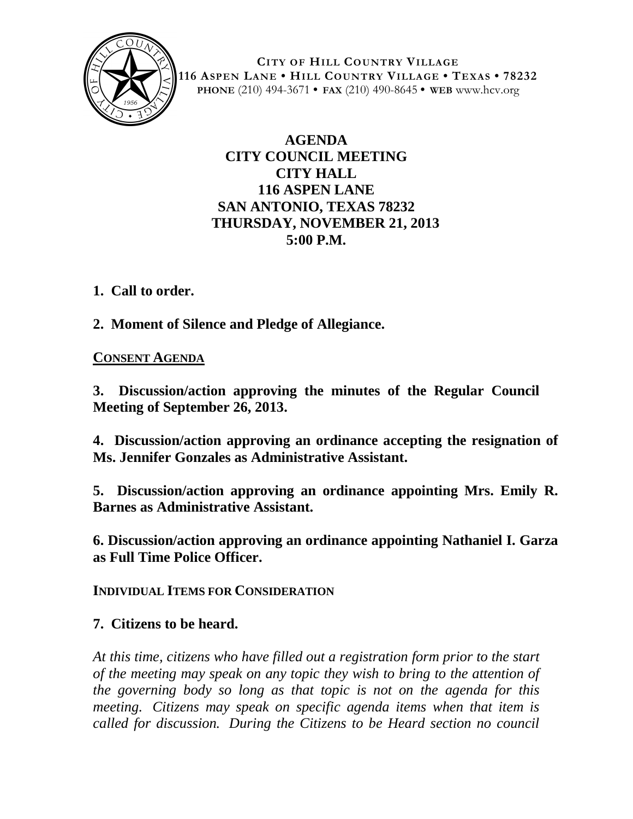

**CITY OF HILL COUNTRY VILLAGE 116 ASPEN LANE • HILL COUNTRY VILLAGE • TEXAS • 78232 PHONE** (210) 494-3671 **• FAX** (210) 490-8645 **• WEB** www.hcv.org

## **AGENDA CITY COUNCIL MEETING CITY HALL 116 ASPEN LANE SAN ANTONIO, TEXAS 78232 THURSDAY, NOVEMBER 21, 2013 5:00 P.M.**

**1. Call to order.**

**2. Moment of Silence and Pledge of Allegiance.**

## **CONSENT AGENDA**

**3. Discussion/action approving the minutes of the Regular Council Meeting of September 26, 2013.**

**4. Discussion/action approving an ordinance accepting the resignation of Ms. Jennifer Gonzales as Administrative Assistant.**

**5. Discussion/action approving an ordinance appointing Mrs. Emily R. Barnes as Administrative Assistant.**

**6. Discussion/action approving an ordinance appointing Nathaniel I. Garza as Full Time Police Officer.**

**INDIVIDUAL ITEMS FOR CONSIDERATION**

## **7. Citizens to be heard.**

*At this time, citizens who have filled out a registration form prior to the start of the meeting may speak on any topic they wish to bring to the attention of the governing body so long as that topic is not on the agenda for this meeting. Citizens may speak on specific agenda items when that item is called for discussion. During the Citizens to be Heard section no council*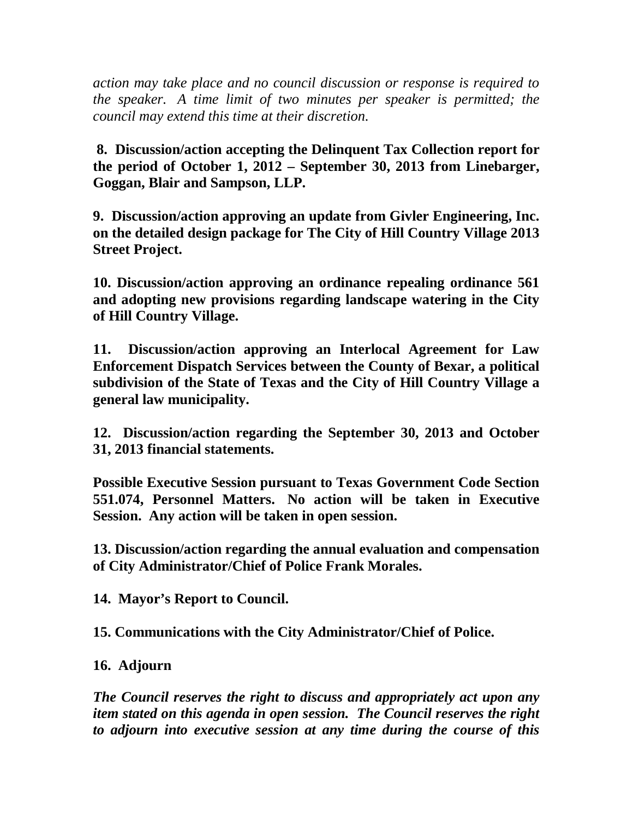*action may take place and no council discussion or response is required to the speaker. A time limit of two minutes per speaker is permitted; the council may extend this time at their discretion.*

**8. Discussion/action accepting the Delinquent Tax Collection report for the period of October 1, 2012 – September 30, 2013 from Linebarger, Goggan, Blair and Sampson, LLP.**

**9. Discussion/action approving an update from Givler Engineering, Inc. on the detailed design package for The City of Hill Country Village 2013 Street Project.**

**10. Discussion/action approving an ordinance repealing ordinance 561 and adopting new provisions regarding landscape watering in the City of Hill Country Village.**

**11. Discussion/action approving an Interlocal Agreement for Law Enforcement Dispatch Services between the County of Bexar, a political subdivision of the State of Texas and the City of Hill Country Village a general law municipality.**

**12. Discussion/action regarding the September 30, 2013 and October 31, 2013 financial statements.**

**Possible Executive Session pursuant to Texas Government Code Section 551.074, Personnel Matters. No action will be taken in Executive Session. Any action will be taken in open session.**

**13. Discussion/action regarding the annual evaluation and compensation of City Administrator/Chief of Police Frank Morales.**

**14. Mayor's Report to Council.**

**15. Communications with the City Administrator/Chief of Police.**

**16. Adjourn**

*The Council reserves the right to discuss and appropriately act upon any item stated on this agenda in open session. The Council reserves the right to adjourn into executive session at any time during the course of this*